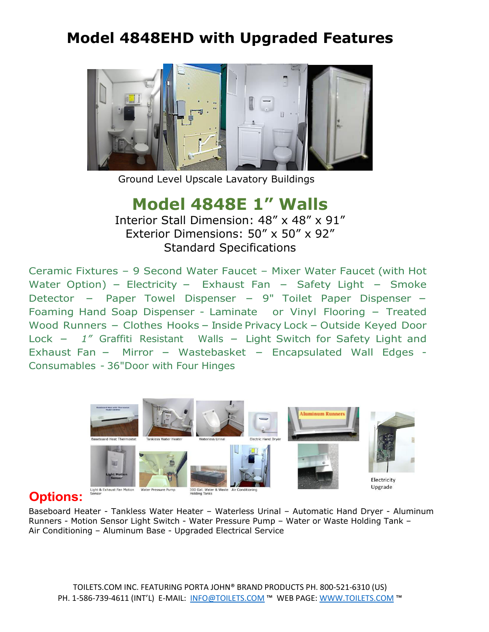## **Model 4848EHD with Upgraded Features**



Ground Level Upscale Lavatory Buildings

## **Model 4848E 1" Walls**

Interior Stall Dimension: 48" x 48" x 91" Exterior Dimensions: 50" x 50" x 92" Standard Specifications

Ceramic Fixtures – 9 Second Water Faucet – Mixer Water Faucet (with Hot Water Option) - Electricity - Exhaust Fan - Safety Light - Smoke Detector  $-$  Paper Towel Dispenser  $-$  9" Toilet Paper Dispenser  $-$ Foaming Hand Soap Dispenser - Laminate or Vinyl Flooring - Treated Wood Runners - Clothes Hooks - Inside Privacy Lock - Outside Keyed Door Lock - 1<sup>*"*</sup> Graffiti Resistant Walls - Light Switch for Safety Light and Exhaust Fan - Mirror - Wastebasket - Encapsulated Wall Edges -Consumables - 36"Door with Four Hinges



## **Options:**

Baseboard Heater - Tankless Water Heater – Waterless Urinal – Automatic Hand Dryer - Aluminum Runners - Motion Sensor Light Switch - Water Pressure Pump – Water or Waste Holding Tank – Air Conditioning – Aluminum Base - Upgraded Electrical Service